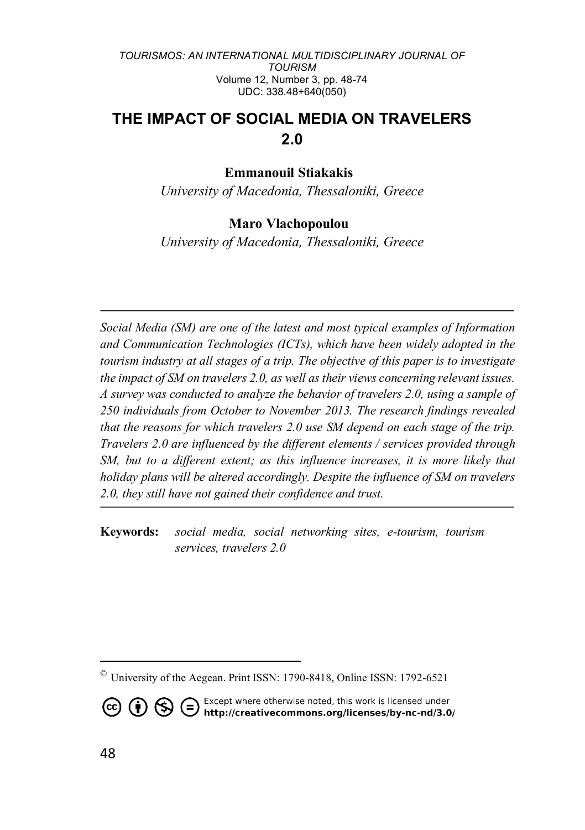# **THE IMPACT OF SOCIAL MEDIA ON TRAVELERS 2.0**

### **Emmanouil Stiakakis©**

*University of Macedonia, Thessaloniki, Greece*

### **Maro Vlachopoulou©**

*University of Macedonia, Thessaloniki, Greece*

*Social Media (SM) are one of the latest and most typical examples of Information and Communication Technologies (ICTs), which have been widely adopted in the tourism industry at all stages of a trip. The objective of this paper is to investigate the impact of SM on travelers 2.0, as well as their views concerning relevant issues. A survey was conducted to analyze the behavior of travelers 2.0, using a sample of 250 individuals from October to November 2013. The research findings revealed that the reasons for which travelers 2.0 use SM depend on each stage of the trip. Travelers 2.0 are influenced by the different elements / services provided through SM, but to a different extent; as this influence increases, it is more likely that holiday plans will be altered accordingly. Despite the influence of SM on travelers 2.0, they still have not gained their confidence and trust.*

**Keywords:** *social media, social networking sites, e-tourism, tourism services, travelers 2.0*

Except where otherwise noted, this work is licensed under<br>http://creativecommons.org/licenses/by-nc-nd/3.0/  $\left( 6\right) 6$   $\left( 6\right) 6$ 

 $\overline{a}$ 

<sup>©</sup> University of the Aegean. Print ISSN: 1790-8418, Online ISSN: 1792-6521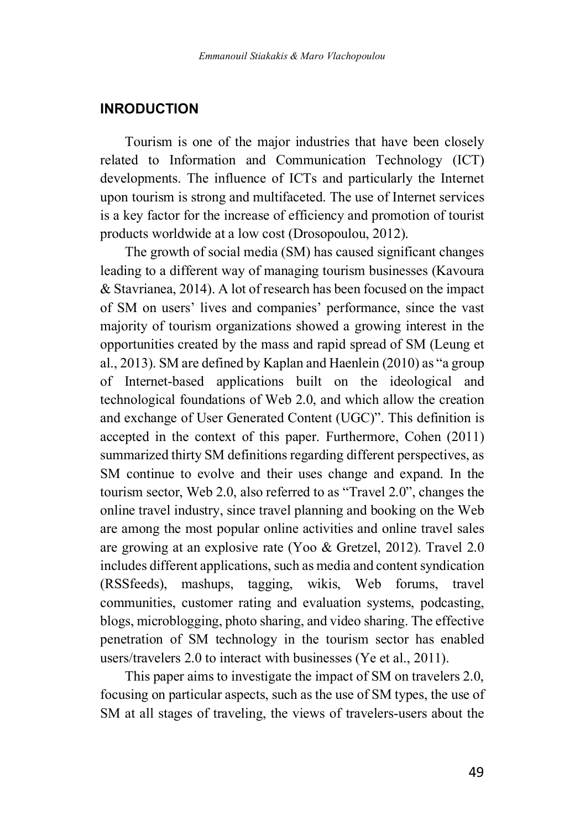### **INRODUCTION**

Tourism is one of the major industries that have been closely related to Information and Communication Technology (ICT) developments. The influence of ICTs and particularly the Internet upon tourism is strong and multifaceted. The use of Internet services is a key factor for the increase of efficiency and promotion of tourist products worldwide at a low cost (Drosopoulou, 2012).

The growth of social media (SM) has caused significant changes leading to a different way of managing tourism businesses (Kavoura & Stavrianea, 2014). A lot of research has been focused on the impact of SM on users' lives and companies' performance, since the vast majority of tourism organizations showed a growing interest in the opportunities created by the mass and rapid spread of SM (Leung et al., 2013). SM are defined by Kaplan and Haenlein (2010) as "a group of Internet-based applications built on the ideological and technological foundations of Web 2.0, and which allow the creation and exchange of User Generated Content (UGC)". This definition is accepted in the context of this paper. Furthermore, Cohen (2011) summarized thirty SM definitions regarding different perspectives, as SM continue to evolve and their uses change and expand. In the tourism sector, Web 2.0, also referred to as "Travel 2.0", changes the online travel industry, since travel planning and booking on the Web are among the most popular online activities and online travel sales are growing at an explosive rate (Yoo & Gretzel, 2012). Travel 2.0 includes different applications, such as media and content syndication (RSSfeeds), mashups, tagging, wikis, Web forums, travel communities, customer rating and evaluation systems, podcasting, blogs, microblogging, photo sharing, and video sharing. The effective penetration of SM technology in the tourism sector has enabled users/travelers 2.0 to interact with businesses (Ye et al., 2011).

This paper aims to investigate the impact of SM on travelers 2.0, focusing on particular aspects, such as the use of SM types, the use of SM at all stages of traveling, the views of travelers-users about the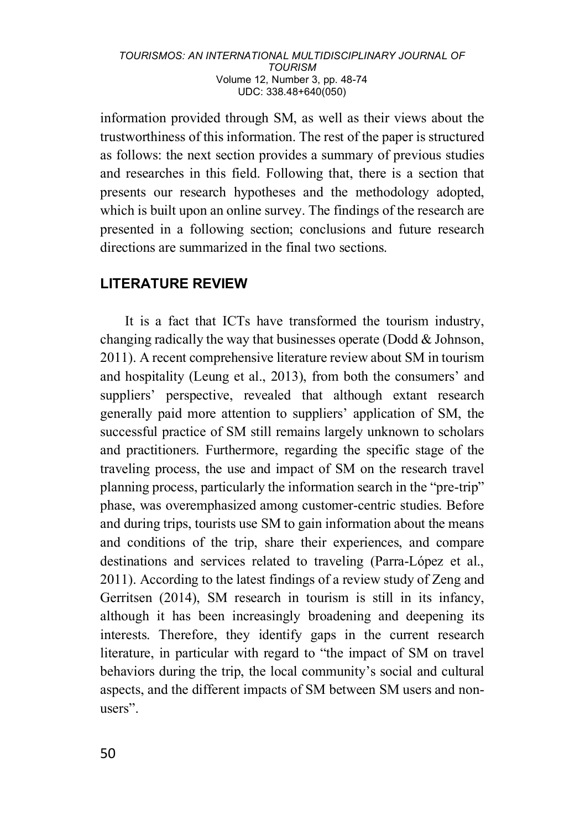information provided through SM, as well as their views about the trustworthiness of this information. The rest of the paper is structured as follows: the next section provides a summary of previous studies and researches in this field. Following that, there is a section that presents our research hypotheses and the methodology adopted, which is built upon an online survey. The findings of the research are presented in a following section; conclusions and future research directions are summarized in the final two sections.

## **LITERATURE REVIEW**

It is a fact that ICTs have transformed the tourism industry, changing radically the way that businesses operate (Dodd & Johnson, 2011). A recent comprehensive literature review about SM in tourism and hospitality (Leung et al., 2013), from both the consumers' and suppliers' perspective, revealed that although extant research generally paid more attention to suppliers' application of SM, the successful practice of SM still remains largely unknown to scholars and practitioners. Furthermore, regarding the specific stage of the traveling process, the use and impact of SM on the research travel planning process, particularly the information search in the "pre-trip" phase, was overemphasized among customer-centric studies. Before and during trips, tourists use SM to gain information about the means and conditions of the trip, share their experiences, and compare destinations and services related to traveling (Parra-López et al., 2011). According to the latest findings of a review study of Zeng and Gerritsen (2014), SM research in tourism is still in its infancy, although it has been increasingly broadening and deepening its interests. Therefore, they identify gaps in the current research literature, in particular with regard to "the impact of SM on travel behaviors during the trip, the local community's social and cultural aspects, and the different impacts of SM between SM users and nonusers".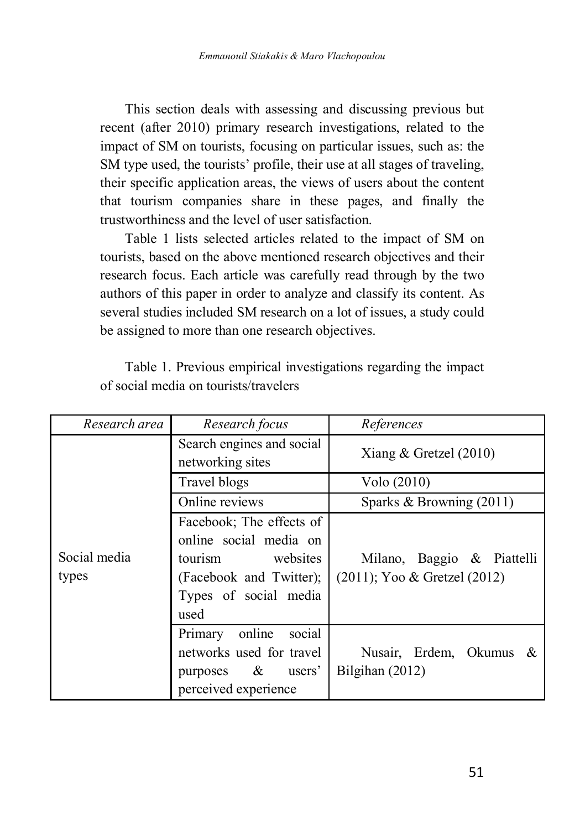This section deals with assessing and discussing previous but recent (after 2010) primary research investigations, related to the impact of SM on tourists, focusing on particular issues, such as: the SM type used, the tourists' profile, their use at all stages of traveling, their specific application areas, the views of users about the content that tourism companies share in these pages, and finally the trustworthiness and the level of user satisfaction.

Table 1 lists selected articles related to the impact of SM on tourists, based on the above mentioned research objectives and their research focus. Each article was carefully read through by the two authors of this paper in order to analyze and classify its content. As several studies included SM research on a lot of issues, a study could be assigned to more than one research objectives.

| Research area         | Research focus                                                                                                                        | References                                                      |
|-----------------------|---------------------------------------------------------------------------------------------------------------------------------------|-----------------------------------------------------------------|
|                       | Search engines and social<br>networking sites                                                                                         | Xiang & Gretzel $(2010)$                                        |
|                       | Travel blogs                                                                                                                          | Volo (2010)                                                     |
|                       | Online reviews                                                                                                                        | Sparks & Browning $(2011)$                                      |
| Social media<br>types | Facebook; The effects of<br>online social media on<br>websites<br>tourism<br>(Facebook and Twitter);<br>Types of social media<br>used | Milano, Baggio & Piattelli<br>$(2011)$ ; Yoo & Gretzel $(2012)$ |
|                       | online<br>social<br>Primary<br>networks used for travel<br>purposes $\&$<br>users'<br>perceived experience                            | Nusair, Erdem, Okumus &<br>Bilgihan (2012)                      |

Table 1. Previous empirical investigations regarding the impact of social media on tourists/travelers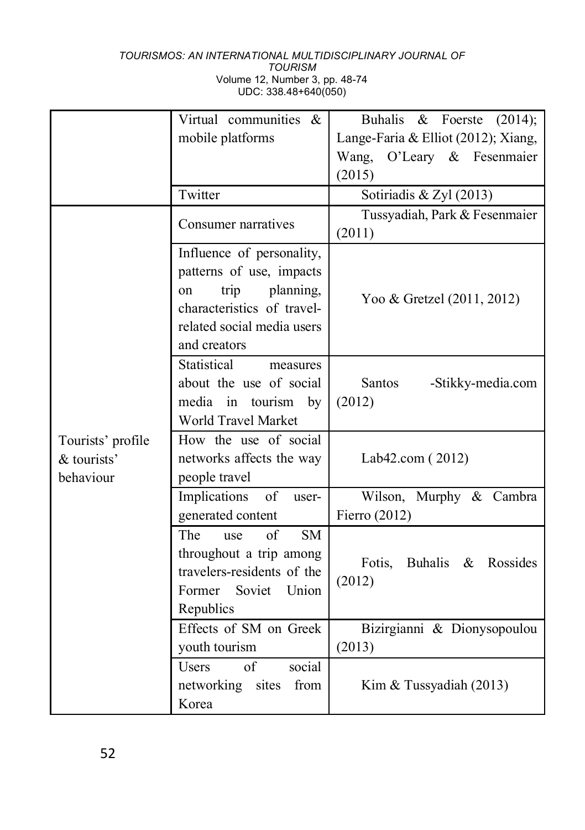|                   | Virtual communities &                | Buhalis<br>$&$ Foerste<br>(2014);   |
|-------------------|--------------------------------------|-------------------------------------|
|                   | mobile platforms                     | Lange-Faria & Elliot (2012); Xiang, |
|                   |                                      | Wang, O'Leary & Fesenmaier          |
|                   |                                      | (2015)                              |
|                   |                                      |                                     |
|                   | Twitter                              | Sotiriadis & Zyl (2013)             |
|                   | Consumer narratives                  | Tussyadiah, Park & Fesenmaier       |
|                   |                                      | (2011)                              |
|                   | Influence of personality,            |                                     |
|                   | patterns of use, impacts             |                                     |
|                   | planning,<br>trip<br><sub>on</sub>   |                                     |
|                   | characteristics of travel-           | Yoo & Gretzel (2011, 2012)          |
|                   | related social media users           |                                     |
|                   | and creators                         |                                     |
|                   | Statistical<br>measures              |                                     |
|                   | about the use of social              | Santos<br>-Stikky-media.com         |
|                   | in tourism<br>media<br>by            | (2012)                              |
|                   | World Travel Market                  |                                     |
| Tourists' profile | How the use of social                |                                     |
| & tourists'       | networks affects the way             | Lab42.com (2012)                    |
| behaviour         | people travel                        |                                     |
|                   | Implications<br>of<br>user-          | Wilson, Murphy & Cambra             |
|                   | generated content                    | Fierro $(2012)$                     |
|                   | The<br><b>SM</b><br>of<br>use        |                                     |
|                   | throughout a trip among              |                                     |
|                   | travelers-residents of the           | Fotis,<br>Buhalis & Rossides        |
|                   | Soviet<br>Former<br>Union            | (2012)                              |
|                   | Republics                            |                                     |
|                   | Effects of SM on Greek               | Bizirgianni & Dionysopoulou         |
|                   | youth tourism                        | (2013)                              |
|                   | social<br>$\alpha$ f<br><b>Users</b> |                                     |
|                   | networking<br>from<br>sites          | Kim & Tussyadiah (2013)             |
|                   | Korea                                |                                     |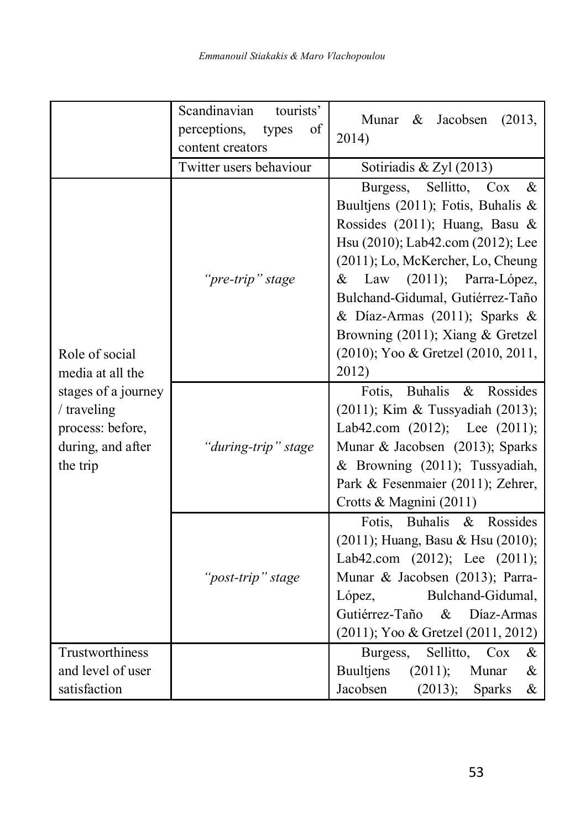|                                                                                                                               | Scandinavian<br>tourists'<br>perceptions,<br>of<br>types<br>content creators<br>Twitter users behaviour | Jacobsen<br>Munar<br>&<br>(2013,<br>2014)<br>Sotiriadis & Zyl (2013)                                                                                                                                                                                                                                                                                                            |
|-------------------------------------------------------------------------------------------------------------------------------|---------------------------------------------------------------------------------------------------------|---------------------------------------------------------------------------------------------------------------------------------------------------------------------------------------------------------------------------------------------------------------------------------------------------------------------------------------------------------------------------------|
| Role of social<br>media at all the<br>stages of a journey<br>/ traveling<br>process: before,<br>during, and after<br>the trip | "pre-trip" stage                                                                                        | Burgess, Sellitto, Cox<br>$\&$<br>Buultjens (2011); Fotis, Buhalis &<br>Rossides (2011); Huang, Basu &<br>Hsu (2010); Lab42.com (2012); Lee<br>(2011); Lo, McKercher, Lo, Cheung<br>Law<br>(2011);<br>Parra-López,<br>&<br>Bulchand-Gidumal, Gutiérrez-Taño<br>& Díaz-Armas (2011); Sparks &<br>Browning (2011); Xiang & Gretzel<br>(2010); Yoo & Gretzel (2010, 2011,<br>2012) |
|                                                                                                                               | "during-trip" stage                                                                                     | Fotis, Buhalis<br>Rossides<br>$\&$<br>(2011); Kim & Tussyadiah (2013);<br>Lab42.com (2012); Lee (2011);<br>Munar & Jacobsen (2013); Sparks<br>& Browning (2011); Tussyadiah,<br>Park & Fesenmaier (2011); Zehrer,<br>Crotts & Magnini (2011)                                                                                                                                    |
|                                                                                                                               | "post-trip" stage                                                                                       | Fotis, Buhalis & Rossides<br>(2011); Huang, Basu & Hsu (2010);<br>Lab42.com (2012); Lee (2011);<br>Munar & Jacobsen (2013); Parra-<br>López,<br>Bulchand-Gidumal,<br>$\&$<br>Gutiérrez-Taño<br>Díaz-Armas<br>(2011); Yoo & Gretzel (2011, 2012)                                                                                                                                 |
| Trustworthiness<br>and level of user<br>satisfaction                                                                          |                                                                                                         | Sellitto,<br>Burgess,<br>Cox<br>$\&$<br><b>Buultjens</b><br>(2011);<br>Munar<br>&<br>Jacobsen<br>(2013);<br>Sparks<br>$\&$                                                                                                                                                                                                                                                      |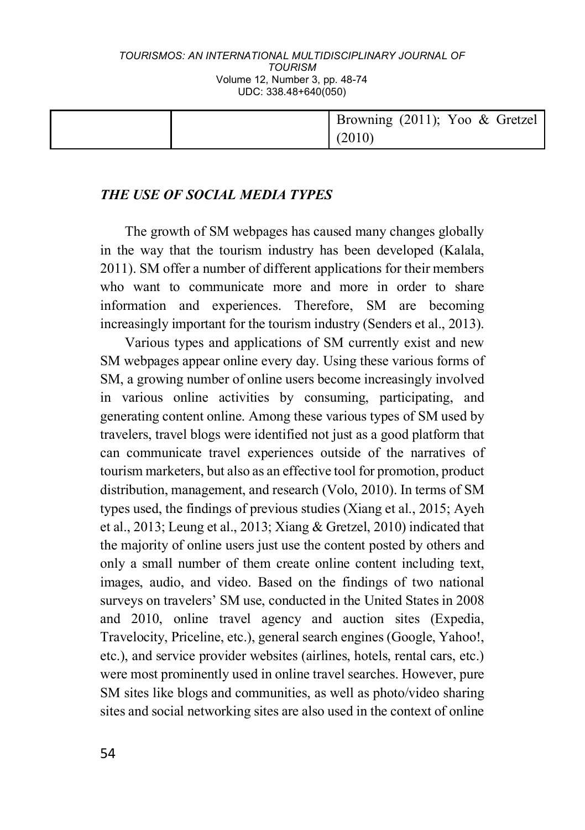|  | Browning (2011); Yoo & Gretzel |
|--|--------------------------------|
|  | (2010)                         |

## *THE USE OF SOCIAL MEDIA TYPES*

The growth of SM webpages has caused many changes globally in the way that the tourism industry has been developed (Kalala, 2011). SM offer a number of different applications for their members who want to communicate more and more in order to share information and experiences. Therefore, SM are becoming increasingly important for the tourism industry (Senders et al., 2013).

Various types and applications of SM currently exist and new SM webpages appear online every day. Using these various forms of SM, a growing number of online users become increasingly involved in various online activities by consuming, participating, and generating content online. Among these various types of SM used by travelers, travel blogs were identified not just as a good platform that can communicate travel experiences outside of the narratives of tourism marketers, but also as an effective tool for promotion, product distribution, management, and research (Volo, 2010). In terms of SM types used, the findings of previous studies (Xiang et al., 2015; Ayeh et al., 2013; Leung et al., 2013; Xiang & Gretzel, 2010) indicated that the majority of online users just use the content posted by others and only a small number of them create online content including text, images, audio, and video. Based on the findings of two national surveys on travelers' SM use, conducted in the United States in 2008 and 2010, online travel agency and auction sites (Expedia, Travelocity, Priceline, etc.), general search engines (Google, Yahoo!, etc.), and service provider websites (airlines, hotels, rental cars, etc.) were most prominently used in online travel searches. However, pure SM sites like blogs and communities, as well as photo/video sharing sites and social networking sites are also used in the context of online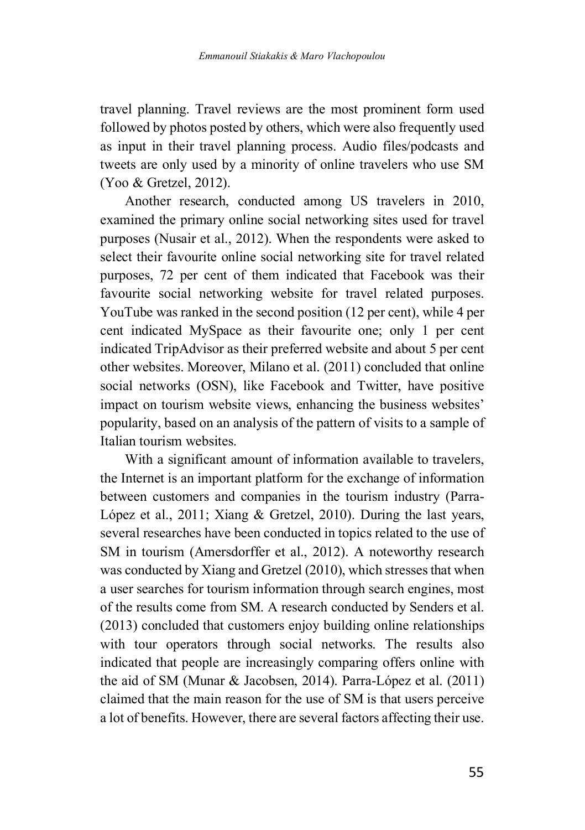travel planning. Travel reviews are the most prominent form used followed by photos posted by others, which were also frequently used as input in their travel planning process. Audio files/podcasts and tweets are only used by a minority of online travelers who use SM (Yoo & Gretzel, 2012).

Another research, conducted among US travelers in 2010, examined the primary online social networking sites used for travel purposes (Nusair et al., 2012). When the respondents were asked to select their favourite online social networking site for travel related purposes, 72 per cent of them indicated that Facebook was their favourite social networking website for travel related purposes. YouTube was ranked in the second position (12 per cent), while 4 per cent indicated MySpace as their favourite one; only 1 per cent indicated TripAdvisor as their preferred website and about 5 per cent other websites. Moreover, Milano et al. (2011) concluded that online social networks (OSN), like Facebook and Twitter, have positive impact on tourism website views, enhancing the business websites' popularity, based on an analysis of the pattern of visits to a sample of Italian tourism websites.

With a significant amount of information available to travelers, the Internet is an important platform for the exchange of information between customers and companies in the tourism industry (Parra-López et al., 2011; Xiang & Gretzel, 2010). During the last years, several researches have been conducted in topics related to the use of SM in tourism (Amersdorffer et al., 2012). A noteworthy research was conducted by Xiang and Gretzel (2010), which stresses that when a user searches for tourism information through search engines, most of the results come from SM. A research conducted by Senders et al. (2013) concluded that customers enjoy building online relationships with tour operators through social networks. The results also indicated that people are increasingly comparing offers online with the aid of SM (Munar & Jacobsen, 2014). Parra-López et al. (2011) claimed that the main reason for the use of SM is that users perceive a lot of benefits. However, there are several factors affecting their use.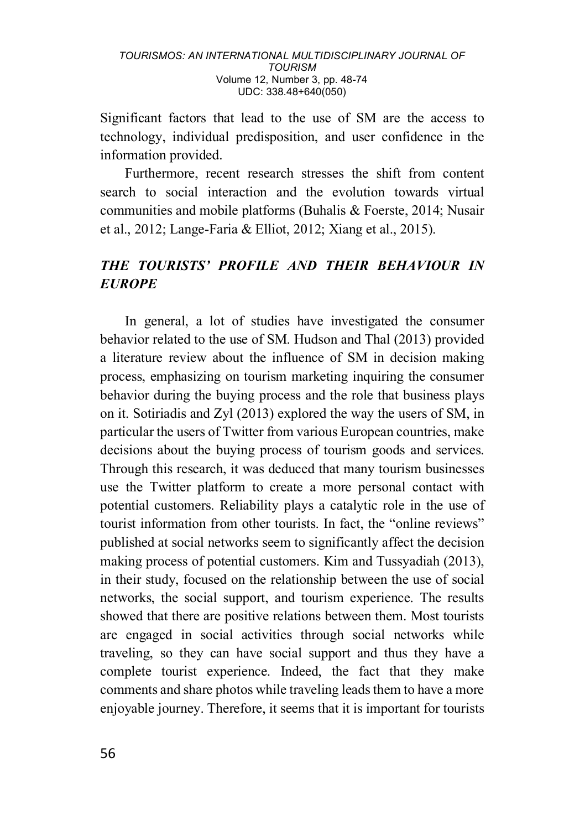Significant factors that lead to the use of SM are the access to technology, individual predisposition, and user confidence in the information provided.

Furthermore, recent research stresses the shift from content search to social interaction and the evolution towards virtual communities and mobile platforms (Buhalis & Foerste, 2014; Nusair et al., 2012; Lange-Faria & Elliot, 2012; Xiang et al., 2015).

## *THE TOURISTS' PROFILE AND THEIR BEHAVIOUR IN EUROPE*

In general, a lot of studies have investigated the consumer behavior related to the use of SM. Hudson and Thal (2013) provided a literature review about the influence of SM in decision making process, emphasizing on tourism marketing inquiring the consumer behavior during the buying process and the role that business plays on it. Sotiriadis and Zyl (2013) explored the way the users of SM, in particular the users of Twitter from various European countries, make decisions about the buying process of tourism goods and services. Through this research, it was deduced that many tourism businesses use the Twitter platform to create a more personal contact with potential customers. Reliability plays a catalytic role in the use of tourist information from other tourists. In fact, the "online reviews" published at social networks seem to significantly affect the decision making process of potential customers. Kim and Tussyadiah (2013), in their study, focused on the relationship between the use of social networks, the social support, and tourism experience. The results showed that there are positive relations between them. Most tourists are engaged in social activities through social networks while traveling, so they can have social support and thus they have a complete tourist experience. Indeed, the fact that they make comments and share photos while traveling leads them to have a more enjoyable journey. Therefore, it seems that it is important for tourists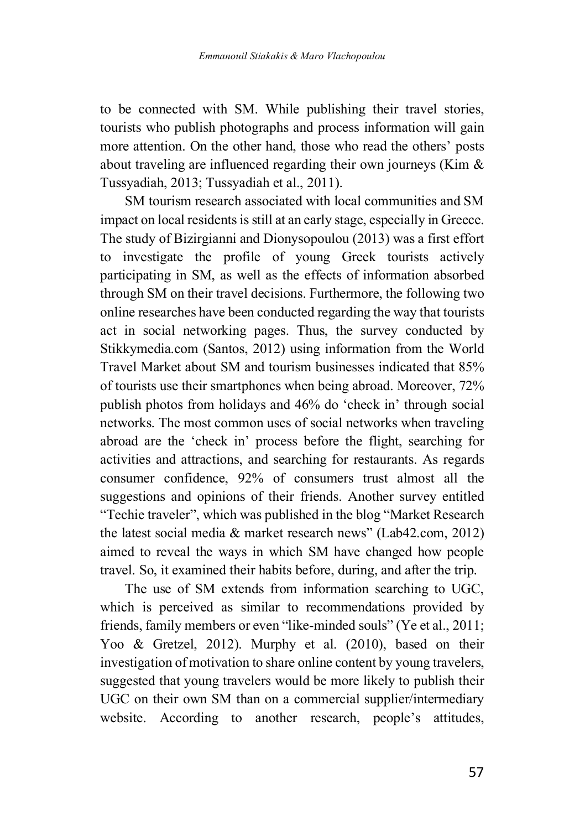to be connected with SM. While publishing their travel stories, tourists who publish photographs and process information will gain more attention. On the other hand, those who read the others' posts about traveling are influenced regarding their own journeys (Kim & Tussyadiah, 2013; Tussyadiah et al., 2011).

SM tourism research associated with local communities and SM impact on local residents is still at an early stage, especially in Greece. The study of Bizirgianni and Dionysopoulou (2013) was a first effort to investigate the profile of young Greek tourists actively participating in SM, as well as the effects of information absorbed through SM on their travel decisions. Furthermore, the following two online researches have been conducted regarding the way that tourists act in social networking pages. Thus, the survey conducted by Stikkymedia.com (Santos, 2012) using information from the World Travel Market about SM and tourism businesses indicated that 85% of tourists use their smartphones when being abroad. Moreover, 72% publish photos from holidays and 46% do 'check in' through social networks. The most common uses of social networks when traveling abroad are the 'check in' process before the flight, searching for activities and attractions, and searching for restaurants. As regards consumer confidence, 92% of consumers trust almost all the suggestions and opinions of their friends. Another survey entitled "Techie traveler", which was published in the blog "Market Research the latest social media & market research news" (Lab42.com, 2012) aimed to reveal the ways in which SM have changed how people travel. So, it examined their habits before, during, and after the trip.

The use of SM extends from information searching to UGC, which is perceived as similar to recommendations provided by friends, family members or even "like-minded souls" (Ye et al., 2011; Yoo & Gretzel, 2012). Murphy et al. (2010), based on their investigation of motivation to share online content by young travelers, suggested that young travelers would be more likely to publish their UGC on their own SM than on a commercial supplier/intermediary website. According to another research, people's attitudes,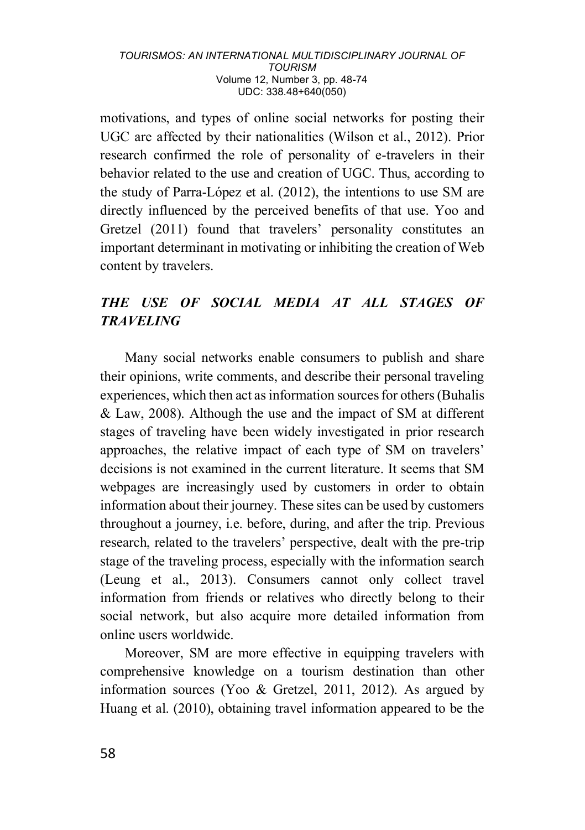motivations, and types of online social networks for posting their UGC are affected by their nationalities (Wilson et al., 2012). Prior research confirmed the role of personality of e-travelers in their behavior related to the use and creation of UGC. Thus, according to the study of Parra-López et al. (2012), the intentions to use SM are directly influenced by the perceived benefits of that use. Yoo and Gretzel (2011) found that travelers' personality constitutes an important determinant in motivating or inhibiting the creation of Web content by travelers.

## *THE USE OF SOCIAL MEDIA AT ALL STAGES OF TRAVELING*

Many social networks enable consumers to publish and share their opinions, write comments, and describe their personal traveling experiences, which then act as information sources for others (Buhalis & Law, 2008). Although the use and the impact of SM at different stages of traveling have been widely investigated in prior research approaches, the relative impact of each type of SM on travelers' decisions is not examined in the current literature. It seems that SM webpages are increasingly used by customers in order to obtain information about their journey. These sites can be used by customers throughout a journey, i.e. before, during, and after the trip. Previous research, related to the travelers' perspective, dealt with the pre-trip stage of the traveling process, especially with the information search (Leung et al., 2013). Consumers cannot only collect travel information from friends or relatives who directly belong to their social network, but also acquire more detailed information from online users worldwide.

Moreover, SM are more effective in equipping travelers with comprehensive knowledge on a tourism destination than other information sources (Yoo & Gretzel, 2011, 2012). As argued by Huang et al. (2010), obtaining travel information appeared to be the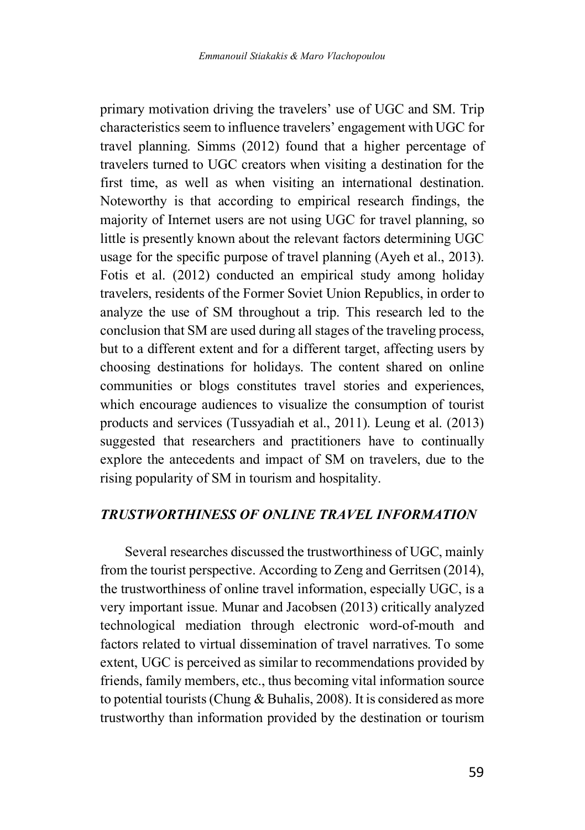primary motivation driving the travelers' use of UGC and SM. Trip characteristics seem to influence travelers' engagement with UGC for travel planning. Simms (2012) found that a higher percentage of travelers turned to UGC creators when visiting a destination for the first time, as well as when visiting an international destination. Noteworthy is that according to empirical research findings, the majority of Internet users are not using UGC for travel planning, so little is presently known about the relevant factors determining UGC usage for the specific purpose of travel planning (Ayeh et al., 2013). Fotis et al. (2012) conducted an empirical study among holiday travelers, residents of the Former Soviet Union Republics, in order to analyze the use of SM throughout a trip. This research led to the conclusion that SM are used during all stages of the traveling process, but to a different extent and for a different target, affecting users by choosing destinations for holidays. The content shared on online communities or blogs constitutes travel stories and experiences, which encourage audiences to visualize the consumption of tourist products and services (Tussyadiah et al., 2011). Leung et al. (2013) suggested that researchers and practitioners have to continually explore the antecedents and impact of SM on travelers, due to the rising popularity of SM in tourism and hospitality.

## *TRUSTWORTHINESS OF ONLINE TRAVEL INFORMATION*

Several researches discussed the trustworthiness of UGC, mainly from the tourist perspective. According to Zeng and Gerritsen (2014), the trustworthiness of online travel information, especially UGC, is a very important issue. Munar and Jacobsen (2013) critically analyzed technological mediation through electronic word-of-mouth and factors related to virtual dissemination of travel narratives. To some extent, UGC is perceived as similar to recommendations provided by friends, family members, etc., thus becoming vital information source to potential tourists (Chung & Buhalis, 2008). It is considered as more trustworthy than information provided by the destination or tourism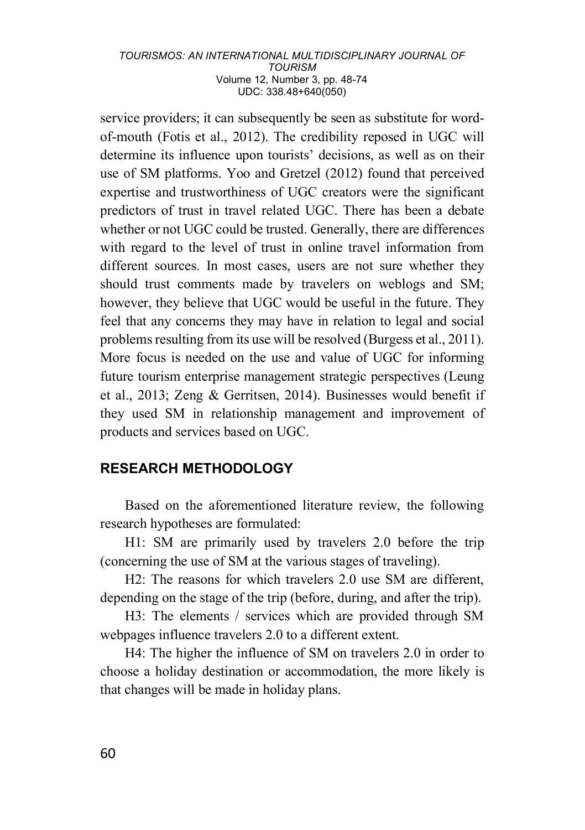service providers; it can subsequently be seen as substitute for wordof-mouth (Fotis et al., 2012). The credibility reposed in UGC will determine its influence upon tourists' decisions, as well as on their use of SM platforms. Yoo and Gretzel (2012) found that perceived expertise and trustworthiness of UGC creators were the significant predictors of trust in travel related UGC. There has been a debate whether or not UGC could be trusted. Generally, there are differences with regard to the level of trust in online travel information from different sources. In most cases, users are not sure whether they should trust comments made by travelers on weblogs and SM; however, they believe that UGC would be useful in the future. They feel that any concerns they may have in relation to legal and social problems resulting from its use will be resolved (Burgess et al., 2011). More focus is needed on the use and value of UGC for informing future tourism enterprise management strategic perspectives (Leung et al., 2013; Zeng & Gerritsen, 2014). Businesses would benefit if they used SM in relationship management and improvement of products and services based on UGC.

## **RESEARCH METHODOLOGY**

Based on the aforementioned literature review, the following research hypotheses are formulated:

H1: SM are primarily used by travelers 2.0 before the trip (concerning the use of SM at the various stages of traveling).

H2: The reasons for which travelers 2.0 use SM are different, depending on the stage of the trip (before, during, and after the trip).

H3: The elements / services which are provided through SM webpages influence travelers 2.0 to a different extent.

H4: The higher the influence of SM on travelers 2.0 in order to choose a holiday destination or accommodation, the more likely is that changes will be made in holiday plans.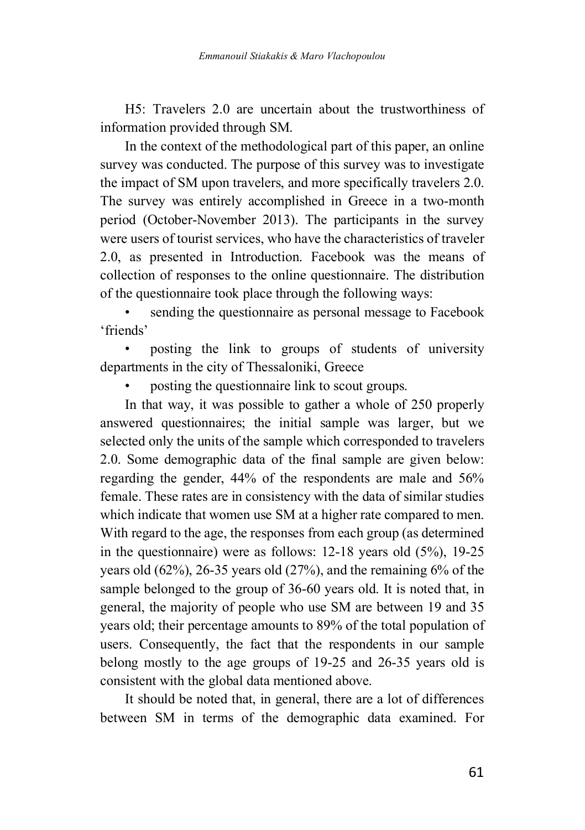H5: Travelers 2.0 are uncertain about the trustworthiness of information provided through SM.

In the context of the methodological part of this paper, an online survey was conducted. The purpose of this survey was to investigate the impact of SM upon travelers, and more specifically travelers 2.0. The survey was entirely accomplished in Greece in a two-month period (October-November 2013). The participants in the survey were users of tourist services, who have the characteristics of traveler 2.0, as presented in Introduction. Facebook was the means of collection of responses to the online questionnaire. The distribution of the questionnaire took place through the following ways:

sending the questionnaire as personal message to Facebook 'friends'

• posting the link to groups of students of university departments in the city of Thessaloniki, Greece

• posting the questionnaire link to scout groups.

In that way, it was possible to gather a whole of 250 properly answered questionnaires; the initial sample was larger, but we selected only the units of the sample which corresponded to travelers 2.0. Some demographic data of the final sample are given below: regarding the gender, 44% of the respondents are male and 56% female. These rates are in consistency with the data of similar studies which indicate that women use SM at a higher rate compared to men. With regard to the age, the responses from each group (as determined in the questionnaire) were as follows: 12-18 years old (5%), 19-25 years old (62%), 26-35 years old (27%), and the remaining 6% of the sample belonged to the group of 36-60 years old. It is noted that, in general, the majority of people who use SM are between 19 and 35 years old; their percentage amounts to 89% of the total population of users. Consequently, the fact that the respondents in our sample belong mostly to the age groups of 19-25 and 26-35 years old is consistent with the global data mentioned above.

It should be noted that, in general, there are a lot of differences between SM in terms of the demographic data examined. For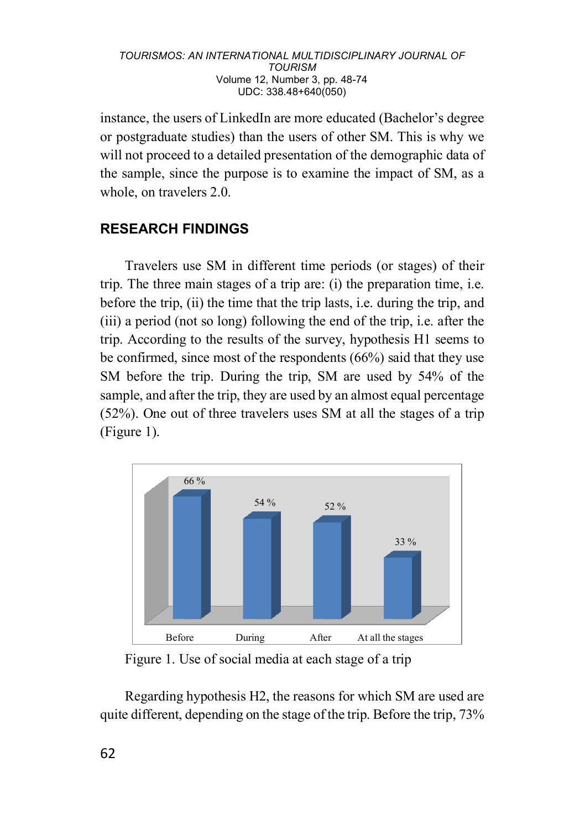instance, the users of LinkedIn are more educated (Bachelor's degree or postgraduate studies) than the users of other SM. This is why we will not proceed to a detailed presentation of the demographic data of the sample, since the purpose is to examine the impact of SM, as a whole, on travelers 2.0.

## **RESEARCH FINDINGS**

Travelers use SM in different time periods (or stages) of their trip. The three main stages of a trip are: (i) the preparation time, i.e. before the trip, (ii) the time that the trip lasts, i.e. during the trip, and (iii) a period (not so long) following the end of the trip, i.e. after the trip. According to the results of the survey, hypothesis H1 seems to be confirmed, since most of the respondents (66%) said that they use SM before the trip. During the trip, SM are used by 54% of the sample, and after the trip, they are used by an almost equal percentage (52%). One out of three travelers uses SM at all the stages of a trip (Figure 1).



Figure 1. Use of social media at each stage of a trip

Regarding hypothesis H2, the reasons for which SM are used are quite different, depending on the stage of the trip. Before the trip, 73%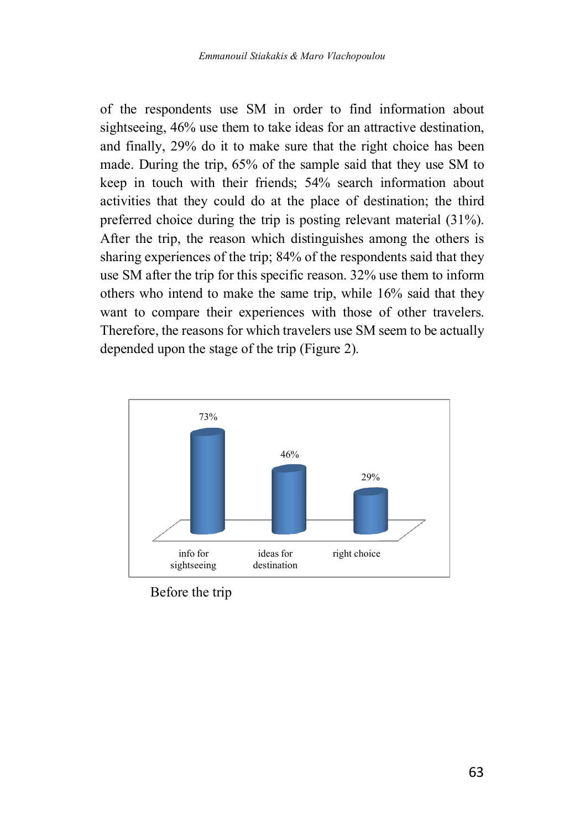of the respondents use SM in order to find information about sightseeing, 46% use them to take ideas for an attractive destination. and finally, 29% do it to make sure that the right choice has been made. During the trip, 65% of the sample said that they use SM to keep in touch with their friends; 54% search information about activities that they could do at the place of destination; the third preferred choice during the trip is posting relevant material (31%). After the trip, the reason which distinguishes among the others is sharing experiences of the trip; 84% of the respondents said that they use SM after the trip for this specific reason. 32% use them to inform others who intend to make the same trip, while 16% said that they want to compare their experiences with those of other travelers. Therefore, the reasons for which travelers use SM seem to be actually depended upon the stage of the trip (Figure 2).



Before the trip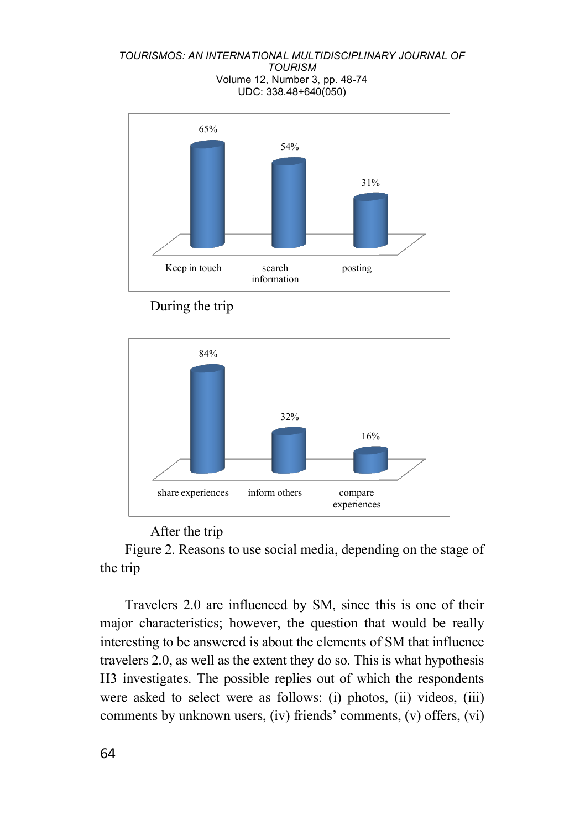





### After the trip

Figure 2. Reasons to use social media, depending on the stage of the trip

Travelers 2.0 are influenced by SM, since this is one of their major characteristics; however, the question that would be really interesting to be answered is about the elements of SM that influence travelers 2.0, as well as the extent they do so. This is what hypothesis H3 investigates. The possible replies out of which the respondents were asked to select were as follows: (i) photos, (ii) videos, (iii) comments by unknown users, (iv) friends' comments, (v) offers, (vi)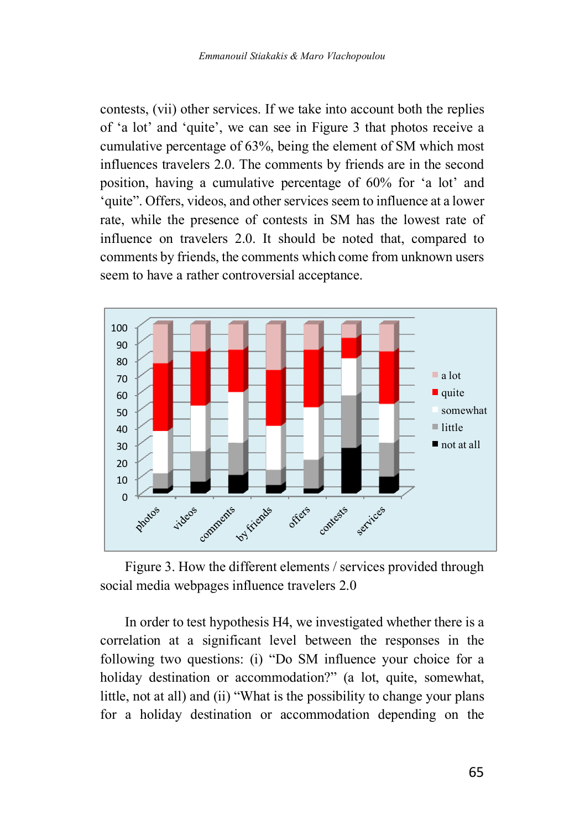contests, (vii) other services. If we take into account both the replies of 'a lot' and 'quite', we can see in Figure 3 that photos receive a cumulative percentage of 63%, being the element of SM which most influences travelers 2.0. The comments by friends are in the second position, having a cumulative percentage of 60% for 'a lot' and 'quite". Offers, videos, and other services seem to influence at a lower rate, while the presence of contests in SM has the lowest rate of influence on travelers 2.0. It should be noted that, compared to comments by friends, the comments which come from unknown users seem to have a rather controversial acceptance.



Figure 3. How the different elements / services provided through social media webpages influence travelers 2.0

In order to test hypothesis H4, we investigated whether there is a correlation at a significant level between the responses in the following two questions: (i) "Do SM influence your choice for a holiday destination or accommodation?" (a lot, quite, somewhat, little, not at all) and (ii) "What is the possibility to change your plans for a holiday destination or accommodation depending on the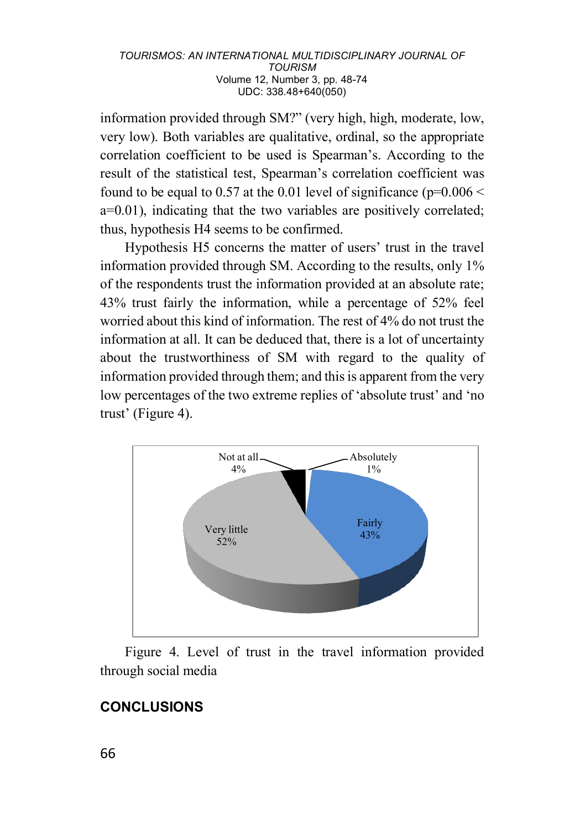information provided through SM?" (very high, high, moderate, low, very low). Both variables are qualitative, ordinal, so the appropriate correlation coefficient to be used is Spearman's. According to the result of the statistical test, Spearman's correlation coefficient was found to be equal to 0.57 at the 0.01 level of significance ( $p=0.006 <$ a=0.01), indicating that the two variables are positively correlated; thus, hypothesis H4 seems to be confirmed.

Hypothesis H5 concerns the matter of users' trust in the travel information provided through SM. According to the results, only 1% of the respondents trust the information provided at an absolute rate; 43% trust fairly the information, while a percentage of 52% feel worried about this kind of information. The rest of 4% do not trust the information at all. It can be deduced that, there is a lot of uncertainty about the trustworthiness of SM with regard to the quality of information provided through them; and this is apparent from the very low percentages of the two extreme replies of 'absolute trust' and 'no trust' (Figure 4).



Figure 4. Level of trust in the travel information provided through social media

## **CONCLUSIONS**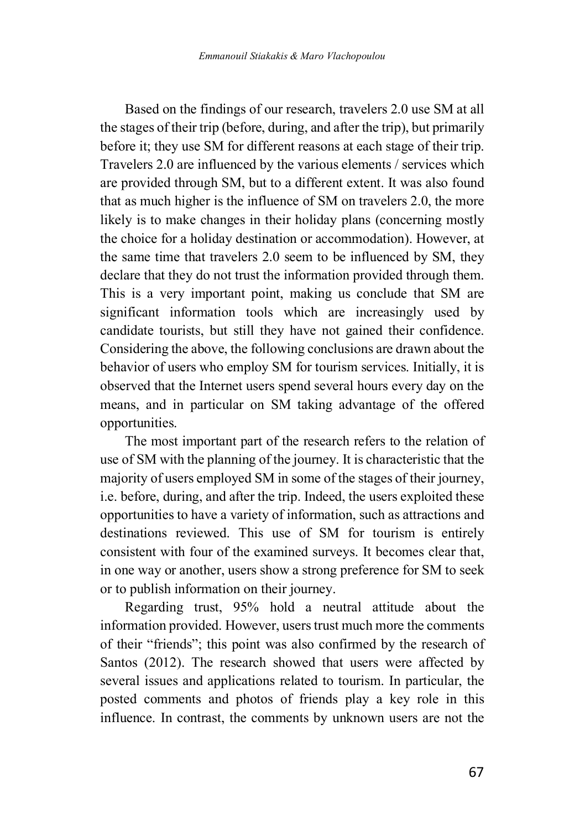Based on the findings of our research, travelers 2.0 use SM at all the stages of their trip (before, during, and after the trip), but primarily before it; they use SM for different reasons at each stage of their trip. Travelers 2.0 are influenced by the various elements / services which are provided through SM, but to a different extent. It was also found that as much higher is the influence of SM on travelers 2.0, the more likely is to make changes in their holiday plans (concerning mostly the choice for a holiday destination or accommodation). However, at the same time that travelers 2.0 seem to be influenced by SM, they declare that they do not trust the information provided through them. This is a very important point, making us conclude that SM are significant information tools which are increasingly used by candidate tourists, but still they have not gained their confidence. Considering the above, the following conclusions are drawn about the behavior of users who employ SM for tourism services. Initially, it is observed that the Internet users spend several hours every day on the means, and in particular on SM taking advantage of the offered opportunities.

The most important part of the research refers to the relation of use of SM with the planning of the journey. It is characteristic that the majority of users employed SM in some of the stages of their journey, i.e. before, during, and after the trip. Indeed, the users exploited these opportunities to have a variety of information, such as attractions and destinations reviewed. This use of SM for tourism is entirely consistent with four of the examined surveys. It becomes clear that, in one way or another, users show a strong preference for SM to seek or to publish information on their journey.

Regarding trust, 95% hold a neutral attitude about the information provided. However, users trust much more the comments of their "friends"; this point was also confirmed by the research of Santos (2012). The research showed that users were affected by several issues and applications related to tourism. In particular, the posted comments and photos of friends play a key role in this influence. In contrast, the comments by unknown users are not the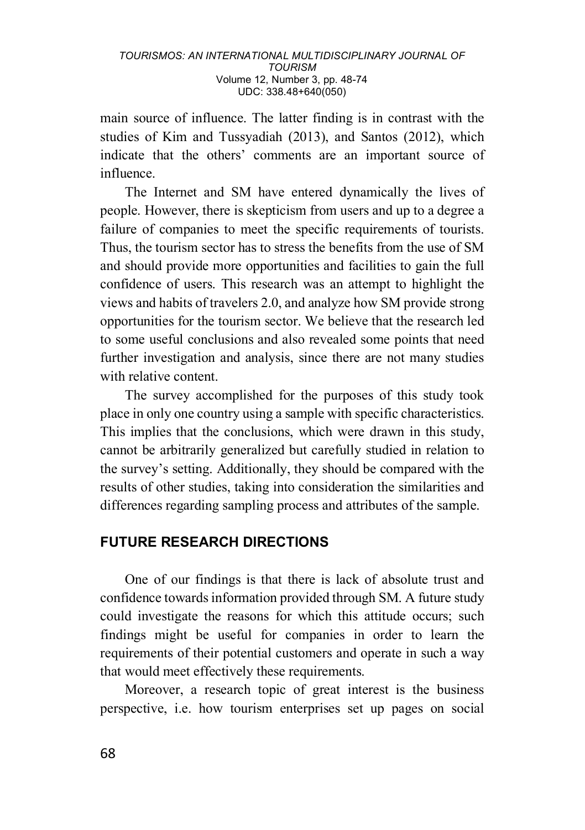main source of influence. The latter finding is in contrast with the studies of Kim and Tussyadiah (2013), and Santos (2012), which indicate that the others' comments are an important source of influence.

The Internet and SM have entered dynamically the lives of people. However, there is skepticism from users and up to a degree a failure of companies to meet the specific requirements of tourists. Thus, the tourism sector has to stress the benefits from the use of SM and should provide more opportunities and facilities to gain the full confidence of users. This research was an attempt to highlight the views and habits of travelers 2.0, and analyze how SM provide strong opportunities for the tourism sector. We believe that the research led to some useful conclusions and also revealed some points that need further investigation and analysis, since there are not many studies with relative content.

The survey accomplished for the purposes of this study took place in only one country using a sample with specific characteristics. This implies that the conclusions, which were drawn in this study, cannot be arbitrarily generalized but carefully studied in relation to the survey's setting. Additionally, they should be compared with the results of other studies, taking into consideration the similarities and differences regarding sampling process and attributes of the sample.

## **FUTURE RESEARCH DIRECTIONS**

One of our findings is that there is lack of absolute trust and confidence towards information provided through SM. A future study could investigate the reasons for which this attitude occurs; such findings might be useful for companies in order to learn the requirements of their potential customers and operate in such a way that would meet effectively these requirements.

Moreover, a research topic of great interest is the business perspective, i.e. how tourism enterprises set up pages on social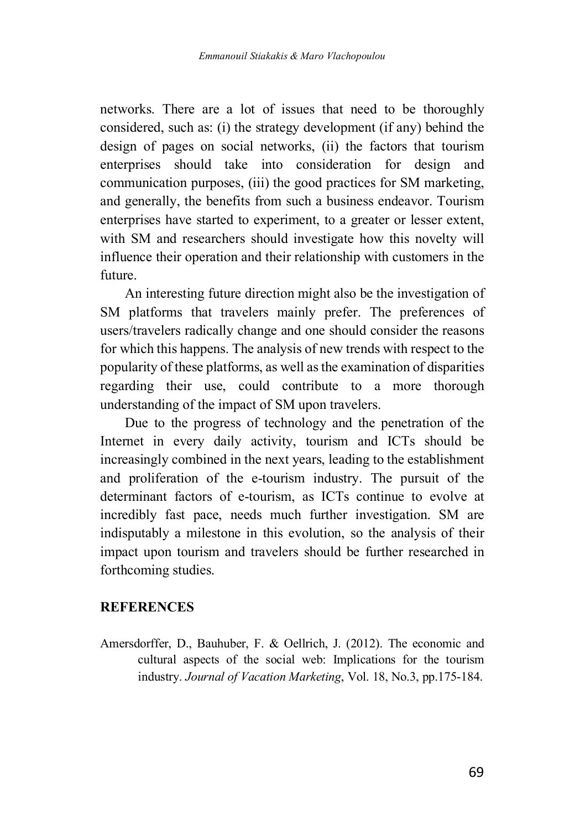networks. There are a lot of issues that need to be thoroughly considered, such as: (i) the strategy development (if any) behind the design of pages on social networks, (ii) the factors that tourism enterprises should take into consideration for design and communication purposes, (iii) the good practices for SM marketing, and generally, the benefits from such a business endeavor. Tourism enterprises have started to experiment, to a greater or lesser extent, with SM and researchers should investigate how this novelty will influence their operation and their relationship with customers in the future.

An interesting future direction might also be the investigation of SM platforms that travelers mainly prefer. The preferences of users/travelers radically change and one should consider the reasons for which this happens. The analysis of new trends with respect to the popularity of these platforms, as well as the examination of disparities regarding their use, could contribute to a more thorough understanding of the impact of SM upon travelers.

Due to the progress of technology and the penetration of the Internet in every daily activity, tourism and ICTs should be increasingly combined in the next years, leading to the establishment and proliferation of the e-tourism industry. The pursuit of the determinant factors of e-tourism, as ICTs continue to evolve at incredibly fast pace, needs much further investigation. SM are indisputably a milestone in this evolution, so the analysis of their impact upon tourism and travelers should be further researched in forthcoming studies.

## **REFERENCES**

Amersdorffer, D., Bauhuber, F. & Oellrich, J. (2012). The economic and cultural aspects of the social web: Implications for the tourism industry. *Journal of Vacation Marketing*, Vol. 18, No.3, pp.175-184.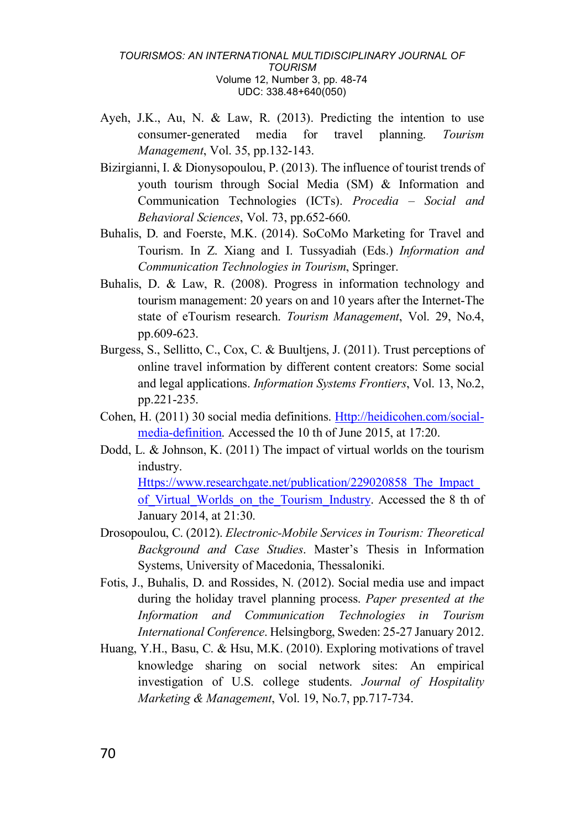- Ayeh, J.K., Au, N. & Law, R. (2013). Predicting the intention to use consumer-generated media for travel planning. *Tourism Management*, Vol. 35, pp.132-143.
- Bizirgianni, I. & Dionysopoulou, P. (2013). The influence of tourist trends of youth tourism through Social Media (SM) & Information and Communication Technologies (ICTs). *Procedia – Social and Behavioral Sciences*, Vol. 73, pp.652-660.
- Buhalis, D. and Foerste, M.K. (2014). SoCoMo Marketing for Travel and Tourism. In Z. Xiang and I. Tussyadiah (Eds.) *Information and Communication Technologies in Tourism*, Springer.
- Buhalis, D. & Law, R. (2008). Progress in information technology and tourism management: 20 years on and 10 years after the Internet-The state of eTourism research. *Tourism Management*, Vol. 29, No.4, pp.609-623.
- Burgess, S., Sellitto, C., Cox, C. & Buultjens, J. (2011). Trust perceptions of online travel information by different content creators: Some social and legal applications. *Information Systems Frontiers*, Vol. 13, No.2, pp.221-235.
- Cohen, H. (2011) 30 social media definitions. Http://heidicohen.com/socialmedia-definition. Accessed the 10 th of June 2015, at 17:20.
- Dodd, L. & Johnson, K. (2011) The impact of virtual worlds on the tourism industry.

Https://www.researchgate.net/publication/229020858\_The\_Impact\_ of Virtual Worlds on the Tourism Industry. Accessed the 8 th of January 2014, at 21:30.

- Drosopoulou, C. (2012). *Electronic-Mobile Services in Tourism: Theoretical Background and Case Studies*. Master's Thesis in Information Systems, University of Macedonia, Thessaloniki.
- Fotis, J., Buhalis, D. and Rossides, N. (2012). Social media use and impact during the holiday travel planning process. *Paper presented at the Information and Communication Technologies in Tourism International Conference*. Helsingborg, Sweden: 25-27 January 2012.
- Huang, Y.H., Basu, C. & Hsu, M.K. (2010). Exploring motivations of travel knowledge sharing on social network sites: An empirical investigation of U.S. college students. *Journal of Hospitality Marketing & Management*, Vol. 19, No.7, pp.717-734.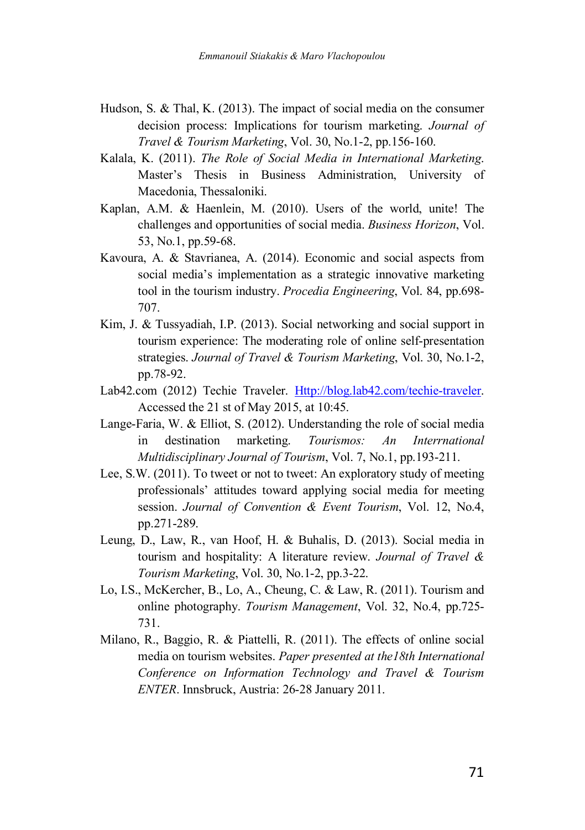- Hudson, S. & Thal, K. (2013). The impact of social media on the consumer decision process: Implications for tourism marketing. *Journal of Travel & Tourism Marketing*, Vol. 30, No.1-2, pp.156-160.
- Kalala, K. (2011). *The Role of Social Media in International Marketing*. Master's Thesis in Business Administration, University of Macedonia, Thessaloniki.
- Kaplan, A.M. & Haenlein, M. (2010). Users of the world, unite! The challenges and opportunities of social media. *Business Horizon*, Vol. 53, No.1, pp.59-68.
- Kavoura, A. & Stavrianea, A. (2014). Economic and social aspects from social media's implementation as a strategic innovative marketing tool in the tourism industry. *Procedia Engineering*, Vol. 84, pp.698- 707.
- Kim, J. & Tussyadiah, I.P. (2013). Social networking and social support in tourism experience: The moderating role of online self-presentation strategies. *Journal of Travel & Tourism Marketing*, Vol. 30, No.1-2, pp.78-92.
- Lab42.com (2012) Techie Traveler. Http://blog.lab42.com/techie-traveler. Accessed the 21 st of May 2015, at 10:45.
- Lange-Faria, W. & Elliot, S. (2012). Understanding the role of social media in destination marketing. *Tourismos: An Interrnational Multidisciplinary Journal of Tourism*, Vol. 7, No.1, pp.193-211.
- Lee, S.W. (2011). To tweet or not to tweet: An exploratory study of meeting professionals' attitudes toward applying social media for meeting session. *Journal of Convention & Event Tourism*, Vol. 12, No.4, pp.271-289.
- Leung, D., Law, R., van Hoof, H. & Buhalis, D. (2013). Social media in tourism and hospitality: A literature review. *Journal of Travel & Tourism Marketing*, Vol. 30, No.1-2, pp.3-22.
- Lo, I.S., McKercher, B., Lo, A., Cheung, C. & Law, R. (2011). Tourism and online photography. *Tourism Management*, Vol. 32, No.4, pp.725- 731.
- Milano, R., Baggio, R. & Piattelli, R. (2011). The effects of online social media on tourism websites. *Paper presented at the18th International Conference on Information Technology and Travel & Tourism ENTER*. Innsbruck, Austria: 26-28 January 2011.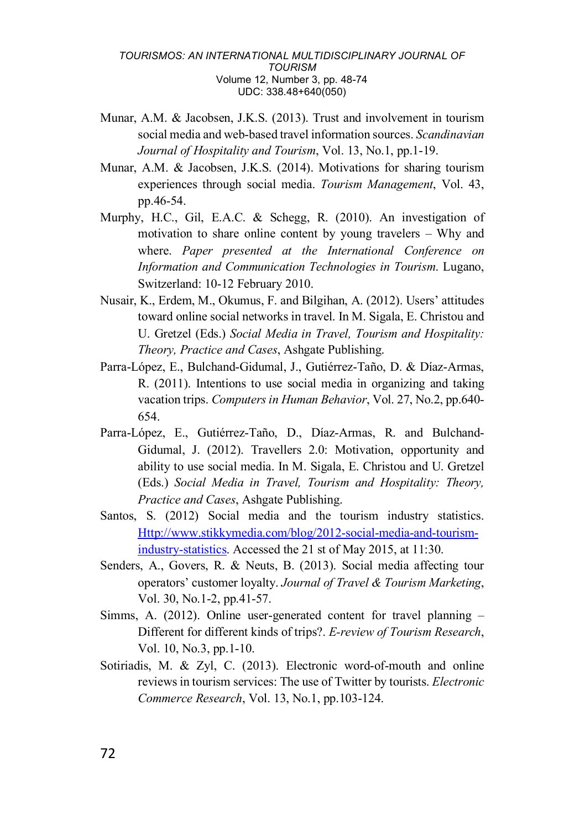- Munar, A.M. & Jacobsen, J.K.S. (2013). Trust and involvement in tourism social media and web-based travel information sources. *Scandinavian Journal of Hospitality and Tourism*, Vol. 13, No.1, pp.1-19.
- Munar, A.M. & Jacobsen, J.K.S. (2014). Motivations for sharing tourism experiences through social media. *Tourism Management*, Vol. 43, pp.46-54.
- Murphy, H.C., Gil, E.A.C. & Schegg, R. (2010). An investigation of motivation to share online content by young travelers – Why and where. *Paper presented at the International Conference on Information and Communication Technologies in Tourism*. Lugano, Switzerland: 10-12 February 2010.
- Nusair, K., Erdem, M., Okumus, F. and Bilgihan, A. (2012). Users' attitudes toward online social networks in travel. In M. Sigala, E. Christou and U. Gretzel (Eds.) *Social Media in Travel, Tourism and Hospitality: Theory, Practice and Cases*, Ashgate Publishing.
- Parra-López, E., Bulchand-Gidumal, J., Gutiérrez-Taño, D. & Díaz-Armas, R. (2011). Intentions to use social media in organizing and taking vacation trips. *Computers in Human Behavior*, Vol. 27, No.2, pp.640- 654.
- Parra-López, E., Gutiérrez-Taño, D., Díaz-Armas, R. and Bulchand-Gidumal, J. (2012). Travellers 2.0: Motivation, opportunity and ability to use social media. In M. Sigala, E. Christou and U. Gretzel (Eds.) *Social Media in Travel, Tourism and Hospitality: Theory, Practice and Cases*, Ashgate Publishing.
- Santos, S. (2012) Social media and the tourism industry statistics. Http://www.stikkymedia.com/blog/2012-social-media-and-tourismindustry-statistics. Accessed the 21 st of May 2015, at 11:30.
- Senders, A., Govers, R. & Neuts, B. (2013). Social media affecting tour operators' customer loyalty. *Journal of Travel & Tourism Marketing*, Vol. 30, No.1-2, pp.41-57.
- Simms, A. (2012). Online user-generated content for travel planning Different for different kinds of trips?. *E-review of Tourism Research*, Vol. 10, No.3, pp.1-10.
- Sotiriadis, M. & Zyl, C. (2013). Electronic word-of-mouth and online reviews in tourism services: The use of Twitter by tourists. *Electronic Commerce Research*, Vol. 13, No.1, pp.103-124.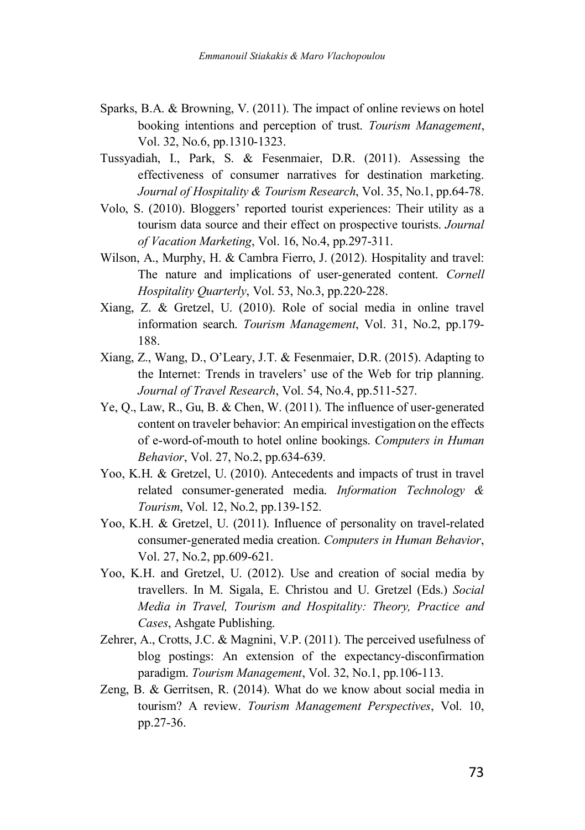- Sparks, B.A. & Browning, V. (2011). The impact of online reviews on hotel booking intentions and perception of trust. *Tourism Management*, Vol. 32, No.6, pp.1310-1323.
- Tussyadiah, I., Park, S. & Fesenmaier, D.R. (2011). Assessing the effectiveness of consumer narratives for destination marketing. *Journal of Hospitality & Tourism Research*, Vol. 35, No.1, pp.64-78.
- Volo, S. (2010). Bloggers' reported tourist experiences: Their utility as a tourism data source and their effect on prospective tourists. *Journal of Vacation Marketing*, Vol. 16, No.4, pp.297-311.
- Wilson, A., Murphy, H. & Cambra Fierro, J. (2012). Hospitality and travel: The nature and implications of user-generated content. *Cornell Hospitality Quarterly*, Vol. 53, No.3, pp.220-228.
- Xiang, Z. & Gretzel, U. (2010). Role of social media in online travel information search. *Tourism Management*, Vol. 31, No.2, pp.179- 188.
- Xiang, Z., Wang, D., O'Leary, J.T. & Fesenmaier, D.R. (2015). Adapting to the Internet: Trends in travelers' use of the Web for trip planning. *Journal of Travel Research*, Vol. 54, No.4, pp.511-527.
- Ye, Q., Law, R., Gu, B. & Chen, W. (2011). The influence of user-generated content on traveler behavior: An empirical investigation on the effects of e-word-of-mouth to hotel online bookings. *Computers in Human Behavior*, Vol. 27, No.2, pp.634-639.
- Yoo, K.H. & Gretzel, U. (2010). Antecedents and impacts of trust in travel related consumer-generated media. *Information Technology & Tourism*, Vol. 12, No.2, pp.139-152.
- Yoo, K.H. & Gretzel, U. (2011). Influence of personality on travel-related consumer-generated media creation. *Computers in Human Behavior*, Vol. 27, No.2, pp.609-621.
- Yoo, K.H. and Gretzel, U. (2012). Use and creation of social media by travellers. In M. Sigala, E. Christou and U. Gretzel (Eds.) *Social Media in Travel, Tourism and Hospitality: Theory, Practice and Cases*, Ashgate Publishing.
- Zehrer, A., Crotts, J.C. & Magnini, V.P. (2011). The perceived usefulness of blog postings: An extension of the expectancy-disconfirmation paradigm. *Tourism Management*, Vol. 32, No.1, pp.106-113.
- Zeng, B. & Gerritsen, R. (2014). What do we know about social media in tourism? A review. *Tourism Management Perspectives*, Vol. 10, pp.27-36.